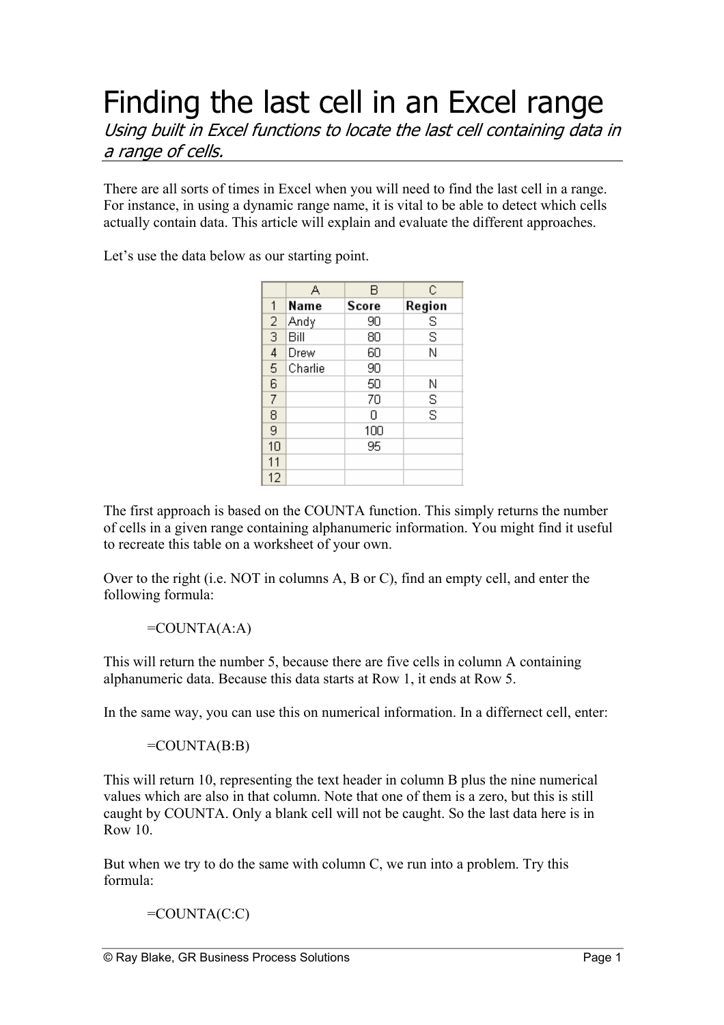## Finding the last cell in an Excel range Using built in Excel functions to locate the last cell containing data in a range of cells.

There are all sorts of times in Excel when you will need to find the last cell in a range. For instance, in using a dynamic range name, it is vital to be able to detect which cells actually contain data. This article will explain and evaluate the different approaches.

Let's use the data below as our starting point.

|                | А       | в     | С      |
|----------------|---------|-------|--------|
| 1              | Name    | Score | Region |
| $\frac{2}{3}$  | Andy    | 90    | s      |
|                | Bill    | 80    | S      |
| $\overline{4}$ | Drew    | 60    | N      |
| 5              | Charlie | 90    |        |
| 6              |         | 50    | Ν      |
| 7              |         | 70    | S      |
| 8              |         | Ω     | S      |
| 9              |         | 100   |        |
| 10             |         | 95    |        |
| 11             |         |       |        |
| 12             |         |       |        |

The first approach is based on the COUNTA function. This simply returns the number of cells in a given range containing alphanumeric information. You might find it useful to recreate this table on a worksheet of your own.

Over to the right (i.e. NOT in columns A, B or C), find an empty cell, and enter the following formula:

=COUNTA(A:A)

This will return the number 5, because there are five cells in column A containing alphanumeric data. Because this data starts at Row 1, it ends at Row 5.

In the same way, you can use this on numerical information. In a differnect cell, enter:

 $=$ COUNTA $(B:B)$ 

This will return 10, representing the text header in column B plus the nine numerical values which are also in that column. Note that one of them is a zero, but this is still caught by COUNTA. Only a blank cell will not be caught. So the last data here is in Row 10.

But when we try to do the same with column C, we run into a problem. Try this formula:

 $=$ COUNTA $(C:C)$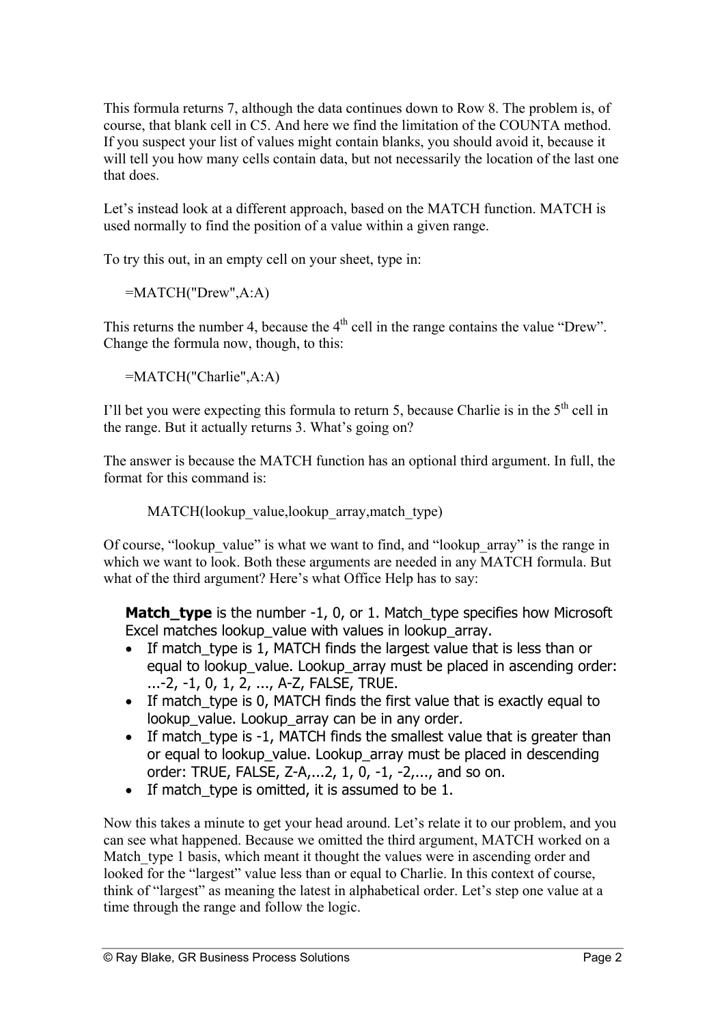This formula returns 7, although the data continues down to Row 8. The problem is, of course, that blank cell in C5. And here we find the limitation of the COUNTA method. If you suspect your list of values might contain blanks, you should avoid it, because it will tell you how many cells contain data, but not necessarily the location of the last one that does.

Let's instead look at a different approach, based on the MATCH function. MATCH is used normally to find the position of a value within a given range.

To try this out, in an empty cell on your sheet, type in:

=MATCH("Drew",A:A)

This returns the number 4, because the  $4<sup>th</sup>$  cell in the range contains the value "Drew". Change the formula now, though, to this:

=MATCH("Charlie",A:A)

I'll bet you were expecting this formula to return 5, because Charlie is in the  $5<sup>th</sup>$  cell in the range. But it actually returns 3. What's going on?

The answer is because the MATCH function has an optional third argument. In full, the format for this command is:

MATCH(lookup value,lookup array,match type)

Of course, "lookup value" is what we want to find, and "lookup array" is the range in which we want to look. Both these arguments are needed in any MATCH formula. But what of the third argument? Here's what Office Help has to say:

**Match type** is the number -1, 0, or 1. Match type specifies how Microsoft Excel matches lookup value with values in lookup array.

- If match type is 1, MATCH finds the largest value that is less than or equal to lookup value. Lookup array must be placed in ascending order: ...-2, -1, 0, 1, 2, ..., A-Z, FALSE, TRUE.
- If match type is 0, MATCH finds the first value that is exactly equal to lookup value. Lookup array can be in any order.
- If match type is -1, MATCH finds the smallest value that is greater than or equal to lookup value. Lookup array must be placed in descending order: TRUE, FALSE, Z-A,...2, 1, 0, -1, -2,..., and so on.
- If match\_type is omitted, it is assumed to be 1.

Now this takes a minute to get your head around. Let's relate it to our problem, and you can see what happened. Because we omitted the third argument, MATCH worked on a Match type 1 basis, which meant it thought the values were in ascending order and looked for the "largest" value less than or equal to Charlie. In this context of course, think of "largest" as meaning the latest in alphabetical order. Let's step one value at a time through the range and follow the logic.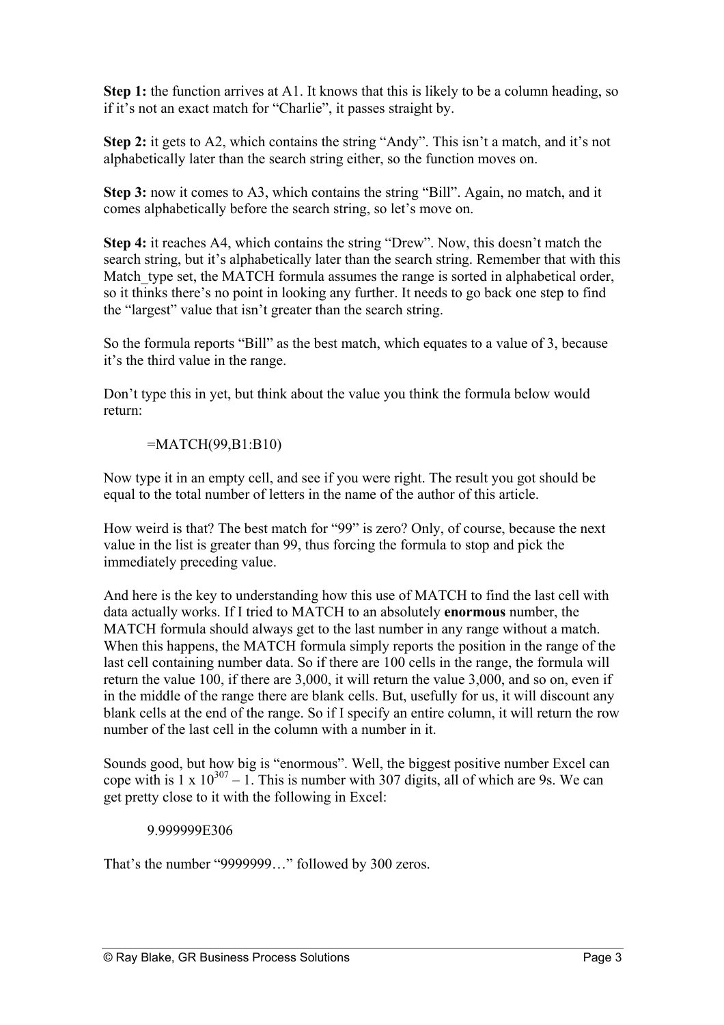**Step 1:** the function arrives at A1. It knows that this is likely to be a column heading, so if it's not an exact match for "Charlie", it passes straight by.

**Step 2:** it gets to A2, which contains the string "Andy". This isn't a match, and it's not alphabetically later than the search string either, so the function moves on.

**Step 3:** now it comes to A3, which contains the string "Bill". Again, no match, and it comes alphabetically before the search string, so let's move on.

**Step 4:** it reaches A4, which contains the string "Drew". Now, this doesn't match the search string, but it's alphabetically later than the search string. Remember that with this Match type set, the MATCH formula assumes the range is sorted in alphabetical order, so it thinks there's no point in looking any further. It needs to go back one step to find the "largest" value that isn't greater than the search string.

So the formula reports "Bill" as the best match, which equates to a value of 3, because it's the third value in the range.

Don't type this in yet, but think about the value you think the formula below would return:

=MATCH(99,B1:B10)

Now type it in an empty cell, and see if you were right. The result you got should be equal to the total number of letters in the name of the author of this article.

How weird is that? The best match for "99" is zero? Only, of course, because the next value in the list is greater than 99, thus forcing the formula to stop and pick the immediately preceding value.

And here is the key to understanding how this use of MATCH to find the last cell with data actually works. If I tried to MATCH to an absolutely **enormous** number, the MATCH formula should always get to the last number in any range without a match. When this happens, the MATCH formula simply reports the position in the range of the last cell containing number data. So if there are 100 cells in the range, the formula will return the value 100, if there are 3,000, it will return the value 3,000, and so on, even if in the middle of the range there are blank cells. But, usefully for us, it will discount any blank cells at the end of the range. So if I specify an entire column, it will return the row number of the last cell in the column with a number in it.

Sounds good, but how big is "enormous". Well, the biggest positive number Excel can cope with is  $1 \times 10^{307} - 1$ . This is number with 307 digits, all of which are 9s. We can get pretty close to it with the following in Excel:

## 9.999999E306

That's the number "9999999…" followed by 300 zeros.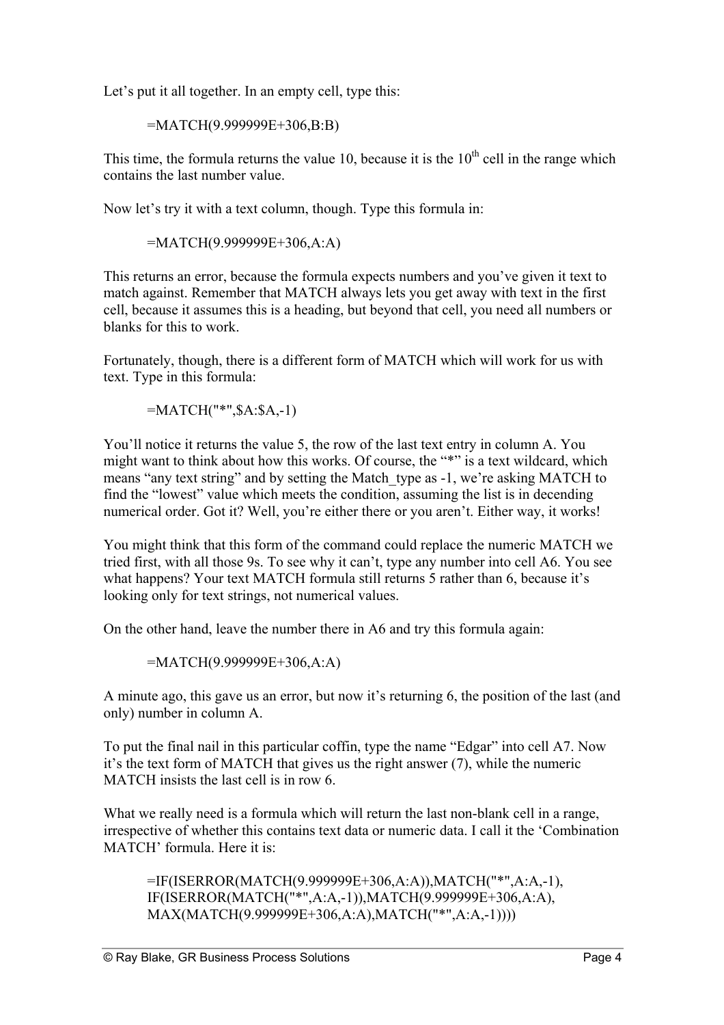Let's put it all together. In an empty cell, type this:

=MATCH(9.999999E+306,B:B)

This time, the formula returns the value 10, because it is the  $10<sup>th</sup>$  cell in the range which contains the last number value.

Now let's try it with a text column, though. Type this formula in:

=MATCH(9.999999E+306,A:A)

This returns an error, because the formula expects numbers and you've given it text to match against. Remember that MATCH always lets you get away with text in the first cell, because it assumes this is a heading, but beyond that cell, you need all numbers or blanks for this to work.

Fortunately, though, there is a different form of MATCH which will work for us with text. Type in this formula:

=MATCH("\*",\$A:\$A,-1)

You'll notice it returns the value 5, the row of the last text entry in column A. You might want to think about how this works. Of course, the "\*" is a text wildcard, which means "any text string" and by setting the Match\_type as -1, we're asking MATCH to find the "lowest" value which meets the condition, assuming the list is in decending numerical order. Got it? Well, you're either there or you aren't. Either way, it works!

You might think that this form of the command could replace the numeric MATCH we tried first, with all those 9s. To see why it can't, type any number into cell A6. You see what happens? Your text MATCH formula still returns 5 rather than 6, because it's looking only for text strings, not numerical values.

On the other hand, leave the number there in A6 and try this formula again:

=MATCH(9.999999E+306,A:A)

A minute ago, this gave us an error, but now it's returning 6, the position of the last (and only) number in column A.

To put the final nail in this particular coffin, type the name "Edgar" into cell A7. Now it's the text form of MATCH that gives us the right answer (7), while the numeric MATCH insists the last cell is in row 6.

What we really need is a formula which will return the last non-blank cell in a range, irrespective of whether this contains text data or numeric data. I call it the 'Combination MATCH' formula. Here it is:

=IF(ISERROR(MATCH(9.999999E+306,A:A)),MATCH("\*",A:A,-1), IF(ISERROR(MATCH("\*",A:A,-1)),MATCH(9.999999E+306,A:A), MAX(MATCH(9.999999E+306,A:A),MATCH("\*",A:A,-1))))